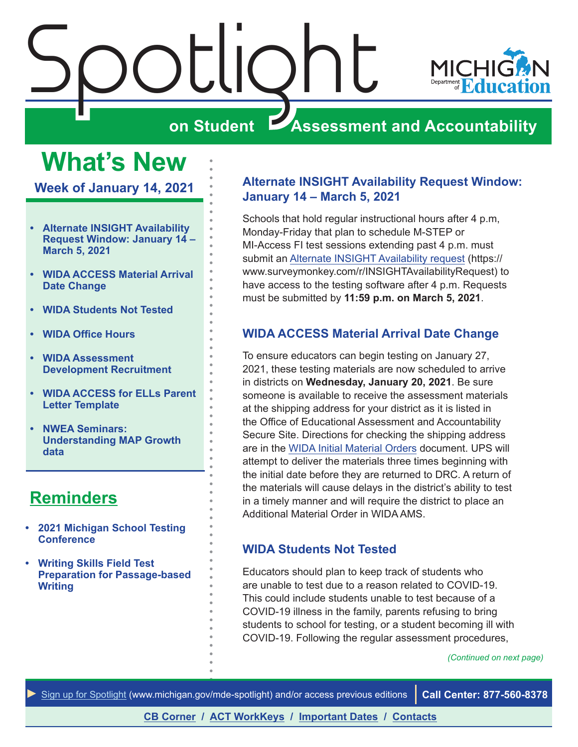<span id="page-0-0"></span>

## **What's New**

**Week of January 14, 2021**

- **• Alternate INSIGHT Availability Request Window: January 14 – March 5, 2021**
- **• WIDA ACCESS Material Arrival Date Change**
- **• WIDA Students Not Tested**
- **• [WIDA Office Hours](#page-1-0)**
- **• [WIDA Assessment](#page-1-0)  [Development Recruitment](#page-1-0)**
- **• [WIDA ACCESS for ELLs Parent](#page-3-0)  [Letter Template](#page-3-0)**
- **• [NWEA Seminars:](#page-3-0)  [Understanding MAP Growth](#page-3-0)  [data](#page-3-0)**

### **[Reminders](#page-4-0)**

- **• [2021 Michigan School Testing](#page-4-0)  [Conference](#page-4-0)**
- **• [Writing Skills Field Test](#page-5-0)  [Preparation for Passage-based](#page-5-0)  [Writing](#page-5-0)**

### **Alternate INSIGHT Availability Request Window: January 14 – March 5, 2021**

Schools that hold regular instructional hours after 4 p.m, Monday-Friday that plan to schedule M-STEP or MI-Access FI test sessions extending past 4 p.m. must submit an [Alternate INSIGHT Availability request](https://www.surveymonkey.com/r/INSIGHTAvailabilityRequest) (https:// www.surveymonkey.com/r/INSIGHTAvailabilityRequest) to have access to the testing software after 4 p.m. Requests must be submitted by **11:59 p.m. on March 5, 2021**.

### **WIDA ACCESS Material Arrival Date Change**

To ensure educators can begin testing on January 27, 2021, these testing materials are now scheduled to arrive in districts on **Wednesday, January 20, 2021**. Be sure someone is available to receive the assessment materials at the shipping address for your district as it is listed in the Office of Educational Assessment and Accountability Secure Site. Directions for checking the shipping address are in the [WIDA Initial Material Orders](https://www.michigan.gov/documents/mde/WIDA_Initial_Material_Orders-jl_544804_7.pdf) document. UPS will attempt to deliver the materials three times beginning with the initial date before they are returned to DRC. A return of the materials will cause delays in the district's ability to test in a timely manner and will require the district to place an Additional Material Order in WIDA AMS.

### **WIDA Students Not Tested**

Educators should plan to keep track of students who are unable to test due to a reason related to COVID-19. This could include students unable to test because of a COVID-19 illness in the family, parents refusing to bring students to school for testing, or a student becoming ill with COVID-19. Following the regular assessment procedures,

*(Continued on next page)*

*►* [Sign up for Spotlight](https://public.govdelivery.com/accounts/MIMDE/subscriber/new) ([www.michigan.gov/mde](www.michigan.gov/mde-spotlight)-spotlight) and/or access previous editions **Call Center: 877-560-8378**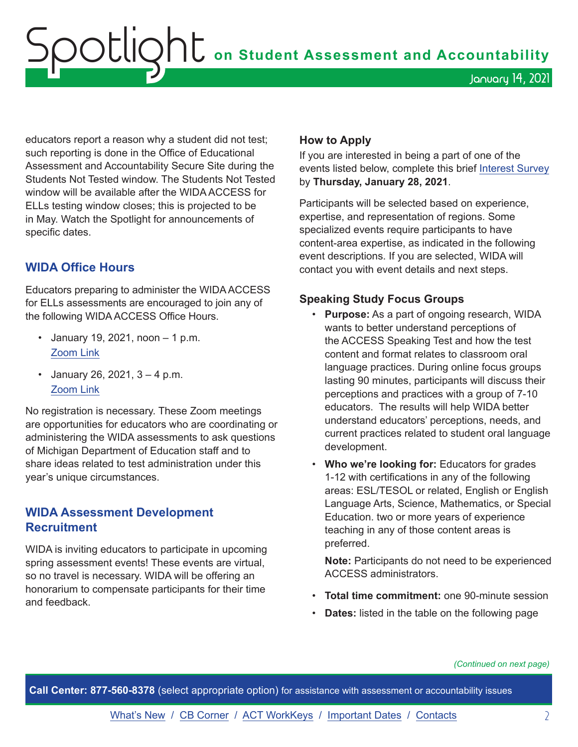<span id="page-1-0"></span>Spotlight **on Student Assessment and Accountability** January 14, 2021

educators report a reason why a student did not test; such reporting is done in the Office of Educational Assessment and Accountability Secure Site during the Students Not Tested window. The Students Not Tested window will be available after the WIDA ACCESS for ELLs testing window closes; this is projected to be in May. Watch the Spotlight for announcements of specific dates.

### **WIDA Office Hours**

Educators preparing to administer the WIDA ACCESS for ELLs assessments are encouraged to join any of the following WIDA ACCESS Office Hours.

- January 19, 2021, noon  $-1$  p.m. [Zoom Link](https://msu.zoom.us/j/97930687841)
- January 26, 2021,  $3 4$  p.m. [Zoom Link](https://msu.zoom.us/j/98078710845)

No registration is necessary. These Zoom meetings are opportunities for educators who are coordinating or administering the WIDA assessments to ask questions of Michigan Department of Education staff and to share ideas related to test administration under this year's unique circumstances.

### **WIDA Assessment Development Recruitment**

WIDA is inviting educators to participate in upcoming spring assessment events! These events are virtual, so no travel is necessary. WIDA will be offering an honorarium to compensate participants for their time and feedback.

### **How to Apply**

If you are interested in being a part of one of the events listed below, complete this brief [Interest Survey](https://uwmadison.co1.qualtrics.com/jfe/form/SV_3C1SA42a5XJrTSJ) by **Thursday, January 28, 2021**.

Participants will be selected based on experience, expertise, and representation of regions. Some specialized events require participants to have content-area expertise, as indicated in the following event descriptions. If you are selected, WIDA will contact you with event details and next steps.

### **Speaking Study Focus Groups**

- **Purpose:** As a part of ongoing research, WIDA wants to better understand perceptions of the ACCESS Speaking Test and how the test content and format relates to classroom oral language practices. During online focus groups lasting 90 minutes, participants will discuss their perceptions and practices with a group of 7-10 educators. The results will help WIDA better understand educators' perceptions, needs, and current practices related to student oral language development.
- **Who we're looking for:** Educators for grades 1-12 with certifications in any of the following areas: ESL/TESOL or related, English or English Language Arts, Science, Mathematics, or Special Education. two or more years of experience teaching in any of those content areas is preferred.

**Note:** Participants do not need to be experienced ACCESS administrators.

- **Total time commitment:** one 90-minute session
- **Dates:** listed in the table on the following page

*(Continued on next page)*

**Call Center: 877-560-8378** (select appropriate option) for assistance with assessment or accountability issues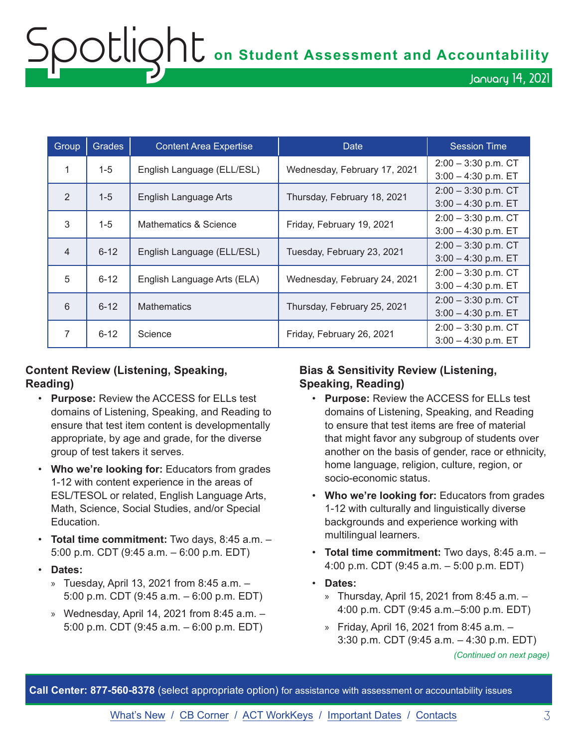## Spotlight **on Student Assessment and Accountability** January 14, 2021

| Group          | <b>Grades</b> | <b>Content Area Expertise</b> | Date                         | <b>Session Time</b>                            |
|----------------|---------------|-------------------------------|------------------------------|------------------------------------------------|
| 1              | $1 - 5$       | English Language (ELL/ESL)    | Wednesday, February 17, 2021 | $2:00 - 3:30$ p.m. CT<br>$3:00 - 4:30$ p.m. ET |
| 2              | $1 - 5$       | English Language Arts         | Thursday, February 18, 2021  | $2:00 - 3:30$ p.m. CT<br>$3:00 - 4:30$ p.m. ET |
| 3              | $1 - 5$       | Mathematics & Science         | Friday, February 19, 2021    | $2:00 - 3:30$ p.m. CT<br>$3:00 - 4:30$ p.m. ET |
| $\overline{4}$ | $6 - 12$      | English Language (ELL/ESL)    | Tuesday, February 23, 2021   | $2:00 - 3:30$ p.m. CT<br>$3:00 - 4:30$ p.m. ET |
| 5              | $6 - 12$      | English Language Arts (ELA)   | Wednesday, February 24, 2021 | $2:00 - 3:30$ p.m. CT<br>$3:00 - 4:30$ p.m. ET |
| 6              | $6 - 12$      | <b>Mathematics</b>            | Thursday, February 25, 2021  | $2:00 - 3:30$ p.m. CT<br>$3:00 - 4:30$ p.m. ET |
| 7              | $6 - 12$      | Science                       | Friday, February 26, 2021    | $2:00 - 3:30$ p.m. CT<br>$3:00 - 4:30$ p.m. ET |

### **Content Review (Listening, Speaking, Reading)**

- **Purpose:** Review the ACCESS for ELLs test domains of Listening, Speaking, and Reading to ensure that test item content is developmentally appropriate, by age and grade, for the diverse group of test takers it serves.
- **Who we're looking for:** Educators from grades 1-12 with content experience in the areas of ESL/TESOL or related, English Language Arts, Math, Science, Social Studies, and/or Special Education.
- **Total time commitment:** Two days, 8:45 a.m. 5:00 p.m. CDT (9:45 a.m. – 6:00 p.m. EDT)
- **Dates:** 
	- » Tuesday, April 13, 2021 from 8:45 a.m. 5:00 p.m. CDT (9:45 a.m. – 6:00 p.m. EDT)
	- » Wednesday, April 14, 2021 from 8:45 a.m.  $-$ 5:00 p.m. CDT (9:45 a.m. – 6:00 p.m. EDT)

### **Bias & Sensitivity Review (Listening, Speaking, Reading)**

- **Purpose:** Review the ACCESS for ELLs test domains of Listening, Speaking, and Reading to ensure that test items are free of material that might favor any subgroup of students over another on the basis of gender, race or ethnicity, home language, religion, culture, region, or socio-economic status.
- **Who we're looking for:** Educators from grades 1-12 with culturally and linguistically diverse backgrounds and experience working with multilingual learners.
- **Total time commitment:** Two days, 8:45 a.m. 4:00 p.m. CDT (9:45 a.m. – 5:00 p.m. EDT)
- **Dates:**
	- » Thursday, April 15, 2021 from 8:45 a.m. 4:00 p.m. CDT (9:45 a.m.–5:00 p.m. EDT)
	- » Friday, April 16, 2021 from 8:45 a.m. 3:30 p.m. CDT (9:45 a.m. – 4:30 p.m. EDT)

*(Continued on next page)*

**Call Center: 877-560-8378** (select appropriate option) for assistance with assessment or accountability issues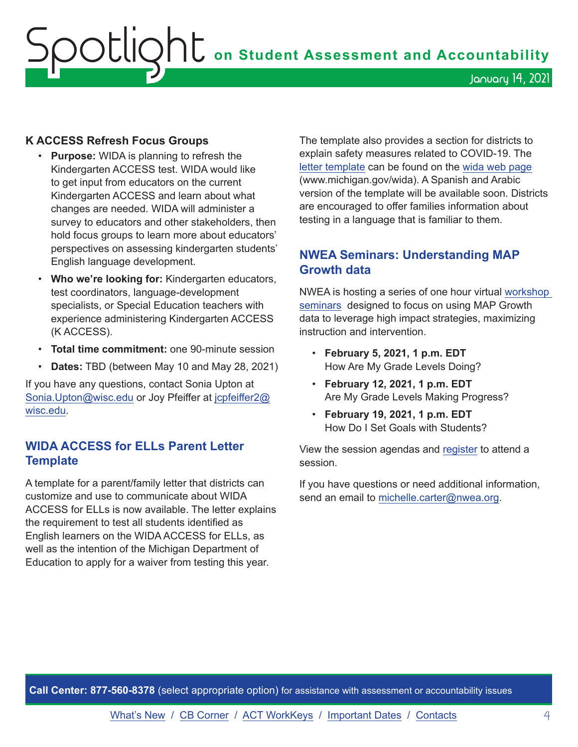## <span id="page-3-0"></span>OOCLIQhC on Student Assessment and Accountability January 14, 2021

### **K ACCESS Refresh Focus Groups**

- **Purpose:** WIDA is planning to refresh the Kindergarten ACCESS test. WIDA would like to get input from educators on the current Kindergarten ACCESS and learn about what changes are needed. WIDA will administer a survey to educators and other stakeholders, then hold focus groups to learn more about educators' perspectives on assessing kindergarten students' English language development.
- **Who we're looking for:** Kindergarten educators, test coordinators, language-development specialists, or Special Education teachers with experience administering Kindergarten ACCESS (K ACCESS).
- **Total time commitment:** one 90-minute session
- **Dates:** TBD (between May 10 and May 28, 2021)

If you have any questions, contact Sonia Upton at [Sonia.Upton@wisc.edu](mailto:Sonia.Upton%40wisc.edu?subject=) or Joy Pfeiffer at [jcpfeiffer2@](mailto:jcpfeiffer2%40wisc.edu?subject=) [wisc.edu.](mailto:jcpfeiffer2%40wisc.edu?subject=)

### **WIDA ACCESS for ELLs Parent Letter Template**

A template for a parent/family letter that districts can customize and use to communicate about WIDA ACCESS for ELLs is now available. The letter explains the requirement to test all students identified as English learners on the WIDA ACCESS for ELLs, as well as the intention of the Michigan Department of Education to apply for a waiver from testing this year.

The template also provides a section for districts to explain safety measures related to COVID-19. The [letter template](https://www.michigan.gov/documents/mde/WIDA_Testing_Parent_Letter_Template_712974_7.docx) can be found on the [wida web page](www.michigan.gov/wida) (www.michigan.gov/wida). A Spanish and Arabic version of the template will be available soon. Districts are encouraged to offer families information about testing in a language that is familiar to them.

### **NWEA Seminars: Understanding MAP Growth data**

NWEA is hosting a series of one hour virtual [workshop](https://www.cvent.com/events/understanding-map-growth-data-seminars/event-summary-d8b858635dd4467696017319df234a11.aspx?mkt_tok=eyJpIjoiTVRreE5USTNOVE0zTVRneiIsInQiOiJHMll2d3lcLzE0OXhiNGFJaE9uSkYwZVNiQ1wvVXduZWF2WlwveExGV09GSmxZZ21ObENqTmVsbmVXd0JQRFNJR09QY2ttblwvTEUrVmdcLytaZjFESTZCTG00ZFJyZ0NSQll4Z1NFM3JsdE9MSGZ1Wm44ZWVaUTZ6WmVzVFo3dFF4RVF0In0=)  [seminars](https://www.cvent.com/events/understanding-map-growth-data-seminars/event-summary-d8b858635dd4467696017319df234a11.aspx?mkt_tok=eyJpIjoiTVRreE5USTNOVE0zTVRneiIsInQiOiJHMll2d3lcLzE0OXhiNGFJaE9uSkYwZVNiQ1wvVXduZWF2WlwveExGV09GSmxZZ21ObENqTmVsbmVXd0JQRFNJR09QY2ttblwvTEUrVmdcLytaZjFESTZCTG00ZFJyZ0NSQll4Z1NFM3JsdE9MSGZ1Wm44ZWVaUTZ6WmVzVFo3dFF4RVF0In0=) designed to focus on using MAP Growth data to leverage high impact strategies, maximizing instruction and intervention.

- **February 5, 2021, 1 p.m. EDT**  How Are My Grade Levels Doing?
- **February 12, 2021, 1 p.m. EDT** Are My Grade Levels Making Progress?
- **February 19, 2021, 1 p.m. EDT**  How Do I Set Goals with Students?

View the session agendas and [register](https://gcc02.safelinks.protection.outlook.com/?url=https%3A%2F%2Fwww.cvent.com%2Fevents%2Funderstanding-map-growth-data-seminars%2Fevent-summary-d8b858635dd4467696017319df234a11.aspx%3Fmkt_tok%3DeyJpIjoiTVRreE5USTNOVE0zTVRneiIsInQiOiJHMll2d3lcLzE0OXhiNGFJaE9uSkYwZVNiQ1wvVXduZWF2WlwveExGV09GSmxZZ21ObENqTmVsbmVXd0JQRFNJR09QY2ttblwvTEUrVmdcLytaZjFESTZCTG00ZFJyZ0NSQll4Z1NFM3JsdE9MSGZ1Wm44ZWVaUTZ6WmVzVFo3dFF4RVF0In0%3D&data=04%7C01%7CRakasD%40michigan.gov%7C5209174783834e052aa208d8b8a7e6e0%7Cd5fb7087377742ad966a892ef47225d1%7C0%7C0%7C637462378551078300%7CUnknown%7CTWFpbGZsb3d8eyJWIjoiMC4wLjAwMDAiLCJQIjoiV2luMzIiLCJBTiI6Ik1haWwiLCJXVCI6Mn0%3D%7C1000&sdata=NhZKCs3dZhxEF30oNb%2BWe1buNVOigvGbSuPFwlRorT8%3D&reserved=0) to attend a session.

If you have questions or need additional information, send an email to [michelle.carter@nwea.org.](mailto:michelle.carter%40nwea.org?subject=)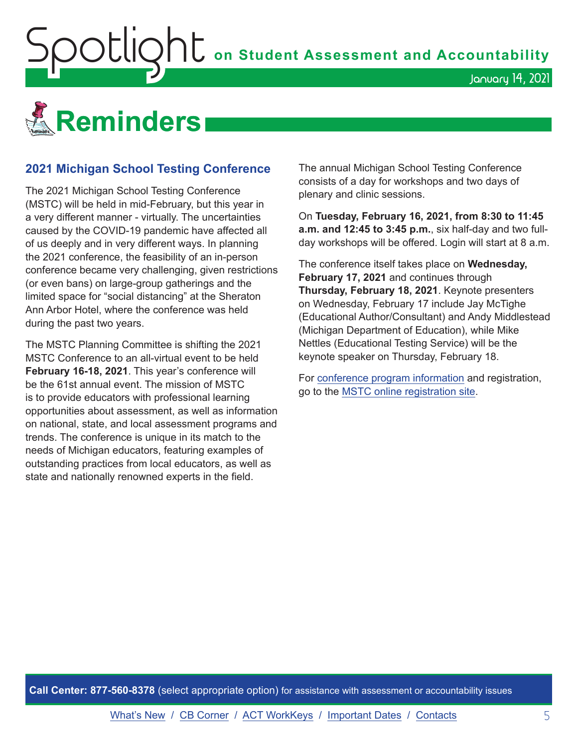<span id="page-4-0"></span>

### **2021 Michigan School Testing Conference**

The 2021 Michigan School Testing Conference (MSTC) will be held in mid-February, but this year in a very different manner - virtually. The uncertainties caused by the COVID-19 pandemic have affected all of us deeply and in very different ways. In planning the 2021 conference, the feasibility of an in-person conference became very challenging, given restrictions (or even bans) on large-group gatherings and the limited space for "social distancing" at the Sheraton Ann Arbor Hotel, where the conference was held during the past two years.

The MSTC Planning Committee is shifting the 2021 MSTC Conference to an all-virtual event to be held **February 16-18, 2021**. This year's conference will be the 61st annual event. The mission of MSTC is to provide educators with professional learning opportunities about assessment, as well as information on national, state, and local assessment programs and trends. The conference is unique in its match to the needs of Michigan educators, featuring examples of outstanding practices from local educators, as well as state and nationally renowned experts in the field.

The annual Michigan School Testing Conference consists of a day for workshops and two days of plenary and clinic sessions.

On **Tuesday, February 16, 2021, from 8:30 to 11:45 a.m. and 12:45 to 3:45 p.m.**, six half-day and two fullday workshops will be offered. Login will start at 8 a.m.

January 14, 2021

The conference itself takes place on **Wednesday, February 17, 2021** and continues through **Thursday, February 18, 2021**. Keynote presenters on Wednesday, February 17 include Jay McTighe (Educational Author/Consultant) and Andy Middlestead (Michigan Department of Education), while Mike Nettles (Educational Testing Service) will be the keynote speaker on Thursday, February 18.

For [conference program information](http://gomasa.org/wp-content/uploads/mstcPromo2021.pdf) and registration, go to the [MSTC online registration site.](http://gomasa.org/mstc2021)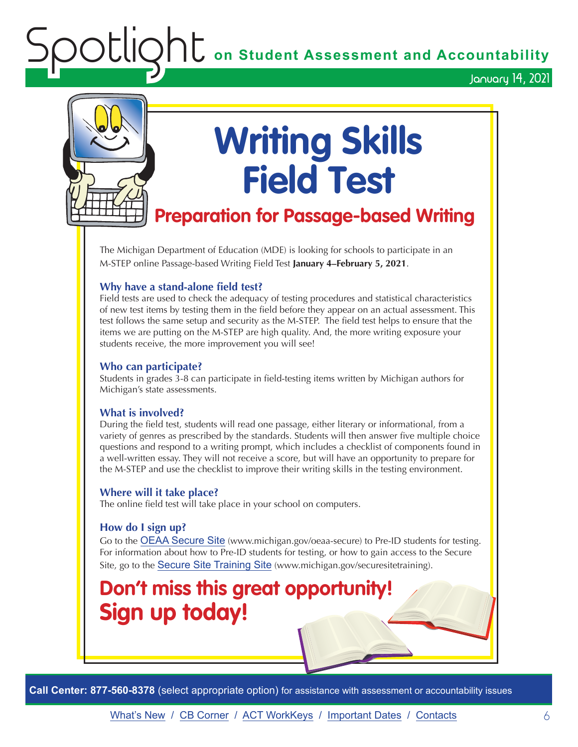**OC** on Student Assessment and Accountability

January 14, 2021

<span id="page-5-0"></span>

## **Writing Skills Field Test**

### **Preparation for Passage-based Writing**

The Michigan Department of Education (MDE) is looking for schools to participate in an M-STEP online Passage-based Writing Field Test **January 4–February 5, 2021**.

### **Why have a stand-alone field test?**

Field tests are used to check the adequacy of testing procedures and statistical characteristics of new test items by testing them in the field before they appear on an actual assessment. This test follows the same setup and security as the M-STEP. The field test helps to ensure that the items we are putting on the M-STEP are high quality. And, the more writing exposure your students receive, the more improvement you will see!

### **Who can participate?**

Students in grades 3-8 can participate in field-testing items written by Michigan authors for Michigan's state assessments.

### **What is involved?**

During the field test, students will read one passage, either literary or informational, from a variety of genres as prescribed by the standards. Students will then answer five multiple choice questions and respond to a writing prompt, which includes a checklist of components found in a well-written essay. They will not receive a score, but will have an opportunity to prepare for the M-STEP and use the checklist to improve their writing skills in the testing environment.

### **Where will it take place?**

The online field test will take place in your school on computers.

### **How do I sign up?**

Go to the [OEAA Secure Site](http://www.michigan.gov/oeaa-secure) (www.michigan.gov/oeaa-secure) to Pre-ID students for testing. For information about how to Pre-ID students for testing, or how to gain access to the Secure Site, go to the [Secure Site Training Site](http://www.michigan.gov/securesitetraining) (www.michigan.gov/securesitetraining).

### **Don't miss this great opportunity! Sign up today!**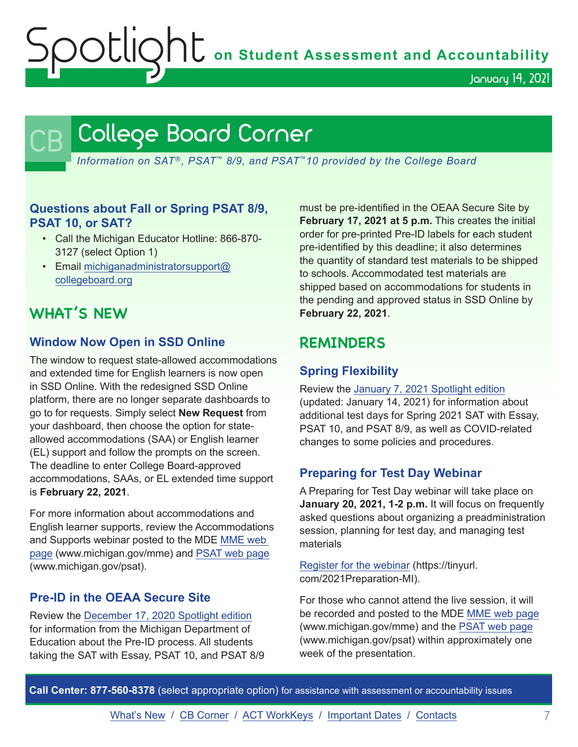OCLIQht on Student Assessment and Accountability

January 14, 2021

## <span id="page-6-0"></span>College Board Corner

*Information on SAT*®*, PSAT*™ *8/9, and PSAT*™*10 provided by the College Board*

### **Questions about Fall or Spring PSAT 8/9, PSAT 10, or SAT?**

- Call the Michigan Educator Hotline: 866-870- 3127 (select Option 1)
- Email [michiganadministratorsupport@](mailto:michiganadministratorsupport%40collegeboard.org?subject=) [collegeboard.org](mailto:michiganadministratorsupport%40collegeboard.org?subject=)

### **WHAT'S NEW**

### **Window Now Open in SSD Online**

The window to request state-allowed accommodations and extended time for English learners is now open in SSD Online. With the redesigned SSD Online platform, there are no longer separate dashboards to go to for requests. Simply select **New Request** from your dashboard, then choose the option for stateallowed accommodations (SAA) or English learner (EL) support and follow the prompts on the screen. The deadline to enter College Board-approved accommodations, SAAs, or EL extended time support is **February 22, 2021**.

For more information about accommodations and English learner supports, review the Accommodations and Supports webinar posted to the MDE [MME web](www.michigan.gov/mme)  [page](www.michigan.gov/mme) (www.michigan.gov/mme) and [PSAT web page](http://www.michigan.gov/psat) (www.michigan.gov/psat).

### **Pre-ID in the OEAA Secure Site**

Review the [December 17, 2020 Spotlight edition](https://www.michigan.gov/documents/mde/Spotlight_12-17-20_710900_7.pdf) for information from the Michigan Department of Education about the Pre-ID process. All students taking the SAT with Essay, PSAT 10, and PSAT 8/9 must be pre-identified in the OEAA Secure Site by **February 17, 2021 at 5 p.m.** This creates the initial order for pre-printed Pre-ID labels for each student pre-identified by this deadline; it also determines the quantity of standard test materials to be shipped to schools. Accommodated test materials are shipped based on accommodations for students in the pending and approved status in SSD Online by **February 22, 2021**.

### **REMINDERS**

### **Spring Flexibility**

Review the [January 7, 2021 Spotlight edition](https://www.michigan.gov/documents/mde/Spotlight_1-7-21_712374_7.pdf) (updated: January 14, 2021) for information about additional test days for Spring 2021 SAT with Essay, PSAT 10, and PSAT 8/9, as well as COVID-related changes to some policies and procedures.

### **Preparing for Test Day Webinar**

A Preparing for Test Day webinar will take place on **January 20, 2021, 1-2 p.m.** It will focus on frequently asked questions about organizing a preadministration session, planning for test day, and managing test materials

[Register for the webinar](https://tinyurl.com/2021Preparation-MI) (https://tinyurl. com/2021Preparation-MI).

For those who cannot attend the live session, it will be recorded and posted to the MDE [MME web page](www.michigan.gov/mme) (www.michigan.gov/mme) and the [PSAT web page](http://www.michigan.gov/psat) (www.michigan.gov/psat) within approximately one week of the presentation.

**Call Center: 877-560-8378** (select appropriate option) for assistance with assessment or accountability issues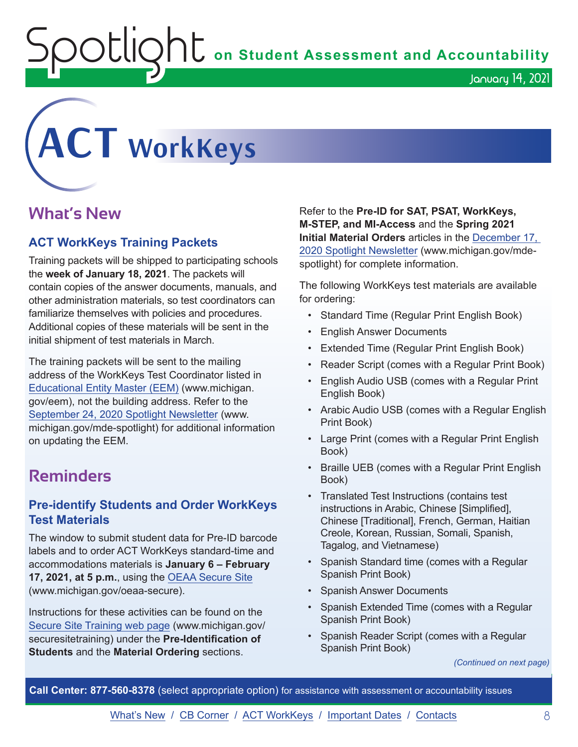OUIQhU on Student Assessment and Accountability

<span id="page-7-0"></span>

### **What's New**

### **ACT WorkKeys Training Packets**

Training packets will be shipped to participating schools the **week of January 18, 2021**. The packets will contain copies of the answer documents, manuals, and other administration materials, so test coordinators can familiarize themselves with policies and procedures. Additional copies of these materials will be sent in the initial shipment of test materials in March.

The training packets will be sent to the mailing address of the WorkKeys Test Coordinator listed in [Educational Entity Master \(EEM\)](www.michigan.gov/EEM) (www.michigan. gov/eem), not the building address. Refer to the [September 24, 2020 Spotlight Newsletter](https://www.michigan.gov/documents/mde/Spotlight_9-24-20_703294_7.pdf) (www. michigan.gov/mde-spotlight) for additional information on updating the EEM.

### **Reminders**

### **Pre-identify Students and Order WorkKeys Test Materials**

The window to submit student data for Pre-ID barcode labels and to order ACT WorkKeys standard-time and accommodations materials is **January 6 – February 17, 2021, at 5 p.m.**, using the [OEAA Secure Site](http://www.michigan.gov/oeaa-secure) (www.michigan.gov/oeaa-secure).

Instructions for these activities can be found on the [Secure Site Training web page](http://www.michigan.gov/securesitetraining) (www.michigan.gov/ securesitetraining) under the **Pre-Identification of Students** and the **Material Ordering** sections.

Refer to the **Pre-ID for SAT, PSAT, WorkKeys, M-STEP, and MI-Access** and the **Spring 2021 Initial Material Orders** articles in the [December 17,](https://www.michigan.gov/documents/mde/Spotlight_12-17-20_710900_7.pdf)  [2020 Spotlight Newsletter](https://www.michigan.gov/documents/mde/Spotlight_12-17-20_710900_7.pdf) (www.michigan.gov/mdespotlight) for complete information.

January 14, 2021

The following WorkKeys test materials are available for ordering:

- Standard Time (Regular Print English Book)
- English Answer Documents
- Extended Time (Regular Print English Book)
- Reader Script (comes with a Regular Print Book)
- English Audio USB (comes with a Regular Print English Book)
- Arabic Audio USB (comes with a Regular English Print Book)
- Large Print (comes with a Regular Print English Book)
- Braille UEB (comes with a Regular Print English Book)
- Translated Test Instructions (contains test instructions in Arabic, Chinese [Simplified], Chinese [Traditional], French, German, Haitian Creole, Korean, Russian, Somali, Spanish, Tagalog, and Vietnamese)
- Spanish Standard time (comes with a Regular Spanish Print Book)
- Spanish Answer Documents
- Spanish Extended Time (comes with a Regular Spanish Print Book)
- Spanish Reader Script (comes with a Regular Spanish Print Book)

*(Continued on next page)*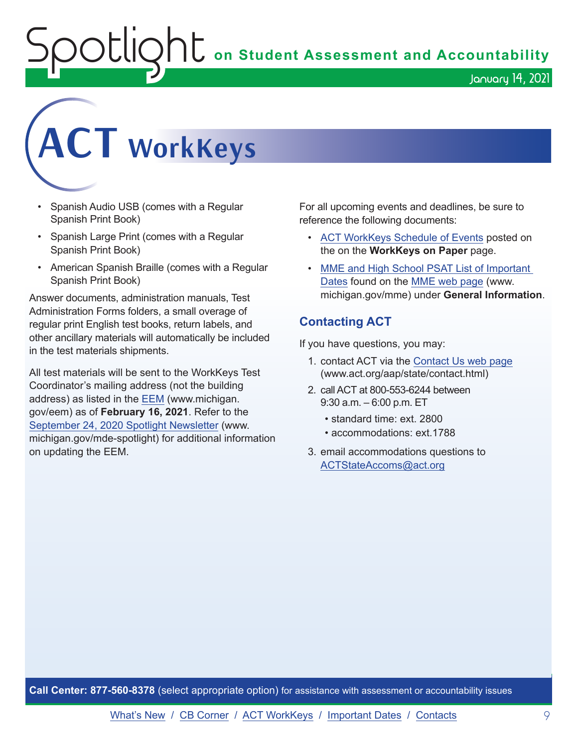**C** on Student Assessment and Accountability

January 14, 2021

# **ACT WorkKeys**

- Spanish Audio USB (comes with a Regular Spanish Print Book)
- Spanish Large Print (comes with a Regular Spanish Print Book)
- American Spanish Braille (comes with a Regular Spanish Print Book)

Answer documents, administration manuals, Test Administration Forms folders, a small overage of regular print English test books, return labels, and other ancillary materials will automatically be included in the test materials shipments.

All test materials will be sent to the WorkKeys Test Coordinator's mailing address (not the building address) as listed in the [EEM](www.michigan.gov/EEM) (www.michigan. gov/eem) as of **February 16, 2021**. Refer to the [September 24, 2020 Spotlight Newsletter](https://www.michigan.gov/documents/mde/Spotlight_9-24-20_703294_7.pdf) (www. michigan.gov/mde-spotlight) for additional information on updating the EEM.

For all upcoming events and deadlines, be sure to reference the following documents:

- [ACT WorkKeys Schedule of Events](https://content.act.org/michigan/reader/QvOmVKFL9Yw0c_sitVNlXA/urb67ck4C1ph7SNsFsEoaA) posted on the on the **WorkKeys on Paper** page.
- [MME and High School PSAT List of Important](https://www.michigan.gov/mde/0,4615,7-140-22709_35150-544814--,00.html)  [Dates](https://www.michigan.gov/mde/0,4615,7-140-22709_35150-544814--,00.html) found on the [MME web page](www.michigan.gov/mme) (www. michigan.gov/mme) under **General Information**.

### **Contacting ACT**

If you have questions, you may:

- 1. contact ACT via the [Contact Us web page](http://www.act.org/aap/state/contact.html) [\(www.act.org/aap/state/contact.html\)](https://www.act.org/aap/state/contact.html)
- 2. call ACT at 800-553-6244 between 9:30 a.m. – 6:00 p.m. ET
	- standard time: ext. 2800
	- accommodations: ext.1788
- 3. email accommodations questions to [ACTStateAccoms@act.org](mailto:ACTStateAccoms%40act.org?subject=)

**Call Center: 877-560-8378** (select appropriate option) for assistance with assessment or accountability issues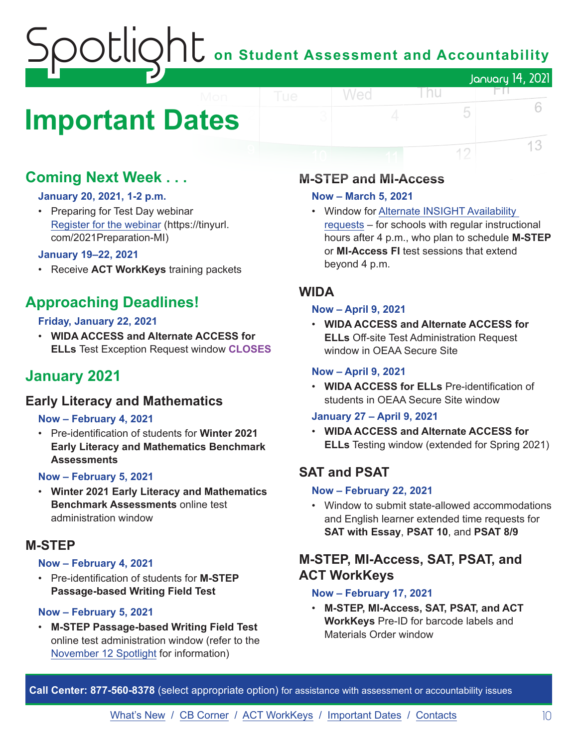## on Student Assessment and Accountability January 14, 2021 ЕH

## <span id="page-9-0"></span>**Important Dates**

### **Coming Next Week . . .**

### **January 20, 2021, 1-2 p.m.**

• Preparing for Test Day webinar [Register for the webinar](https://tinyurl.com/2021Preparation-MI) (https://tinyurl. com/2021Preparation-MI)

### **January 19–22, 2021**

• Receive **ACT WorkKeys** training packets

### **Approaching Deadlines!**

### **Friday, January 22, 2021**

• **WIDA ACCESS and Alternate ACCESS for ELLs** Test Exception Request window **CLOSES**

### **January 2021**

### **Early Literacy and Mathematics**

### **Now – February 4, 2021**

• Pre-identification of students for **Winter 2021 Early Literacy and Mathematics Benchmark Assessments**

### **Now – February 5, 2021**

• **Winter 2021 Early Literacy and Mathematics Benchmark Assessments** online test administration window

### **M-STEP**

### **Now – February 4, 2021**

• Pre-identification of students for **M-STEP Passage-based Writing Field Test**

### **Now – February 5, 2021**

• **M-STEP Passage-based Writing Field Test** online test administration window (refer to the [November 12 Spotlight](https://www.michigan.gov/documents/mde/Spotlight_11-12-20_707634_7.pdf) for information)

### **M-STEP and MI-Access**

### **Now – March 5, 2021**

Wed

• Window for [Alternate INSIGHT Availability](https://www.surveymonkey.com/r/INSIGHTAvailabilityRequest)  [request](https://www.surveymonkey.com/r/INSIGHTAvailabilityRequest)s – for schools with regular instructional hours after 4 p.m., who plan to schedule **M-STEP** or **MI-Access FI** test sessions that extend beyond 4 p.m.

l nu

5

12

6

13

### **WIDA**

### **Now – April 9, 2021**

• **WIDA ACCESS and Alternate ACCESS for ELLs** Off-site Test Administration Request window in OEAA Secure Site

### **Now – April 9, 2021**

• **WIDA ACCESS for ELLs** Pre-identification of students in OEAA Secure Site window

### **January 27 – April 9, 2021**

• **WIDA ACCESS and Alternate ACCESS for ELLs** Testing window (extended for Spring 2021)

### **SAT and PSAT**

### **Now – February 22, 2021**

• Window to submit state-allowed accommodations and English learner extended time requests for **SAT with Essay**, **PSAT 10**, and **PSAT 8/9**

### **M-STEP, MI-Access, SAT, PSAT, and ACT WorkKeys**

### **Now – February 17, 2021**

• **M-STEP, MI-Access, SAT, PSAT, and ACT WorkKeys** Pre-ID for barcode labels and Materials Order window

**Call Center: 877-560-8378** (select appropriate option) for assistance with assessment or accountability issues